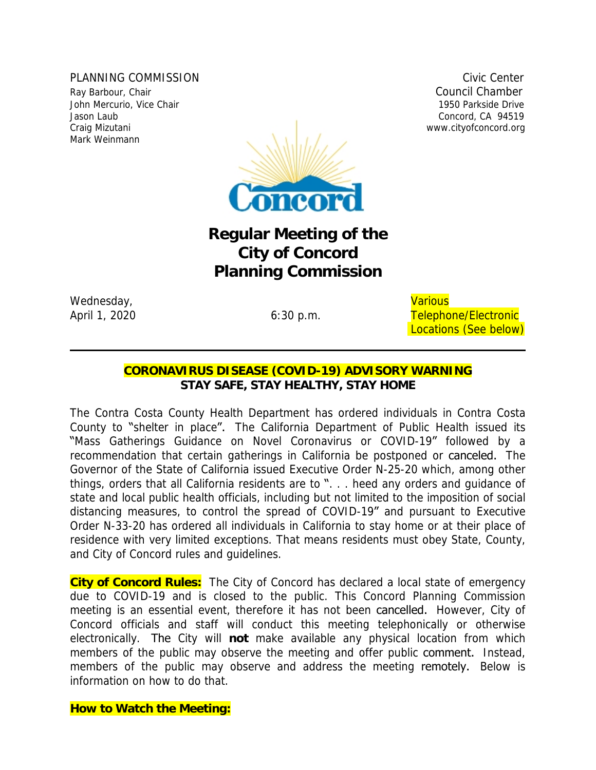PLANNING COMMISSION COMMISSION CIVIC CENTER COMMISSION Ray Barbour, Chair Council Chamber 2014 John Mercurio, Vice Chair 1950 Parkside Drive Jason Laub Concord, CA 94519 Mark Weinmann



# **Regular Meeting of the City of Concord Planning Commission**

Wednesday, and the contract of the contract of the contract of the contract of the contract of the contract of the contract of the contract of the contract of the contract of the contract of the contract of the contract of

April 1, 2020 **Figure 1, 2020** 6:30 p.m. Telephone/Electronic Locations (See below)

# **CORONAVIRUS DISEASE (COVID-19) ADVISORY WARNING** *STAY SAFE, STAY HEALTHY, STAY HOME*

The Contra Costa County Health Department has ordered individuals in Contra Costa County to "shelter in place". The California Department of Public Health issued its "Mass Gatherings Guidance on Novel Coronavirus or COVID-19" followed by a recommendation that certain gatherings in California be postponed or canceled. The Governor of the State of California issued Executive Order N-25-20 which, among other things, orders that all California residents are to ". . . heed any orders and guidance of state and local public health officials, including but not limited to the imposition of social distancing measures, to control the spread of COVID-19" and pursuant to Executive Order N-33-20 has ordered all individuals in California to stay home or at their place of residence with very limited exceptions. That means residents must obey State, County, and City of Concord rules and guidelines.

**City of Concord Rules:** The City of Concord has declared a local state of emergency due to COVID-19 and is closed to the public. This Concord Planning Commission meeting is an essential event, therefore it has not been cancelled. However, City of Concord officials and staff will conduct this meeting telephonically or otherwise electronically. The City will **not** make available any physical location from which members of the public may observe the meeting and offer public **comment.** Instead, members of the public may observe and address the meeting remotely. Below is information on how to do that.

**How to Watch the Meeting:**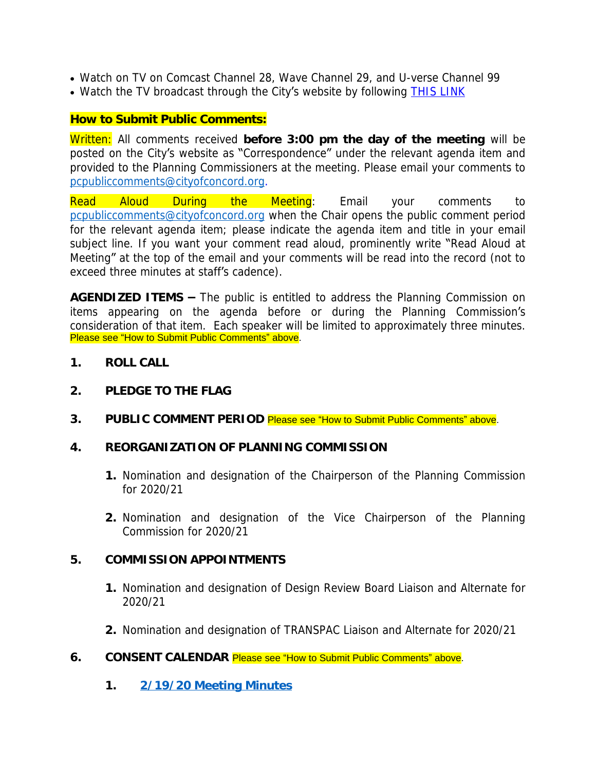- Watch on TV on Comcast Channel 28, Wave Channel 29, and U-verse Channel 99
- Watch the TV broadcast through the City's website by following [THIS LINK](http://204.195.93.6/cablecastapi/live?channel_id=1&use_cdn=true)

## **How to Submit Public Comments:**

Written: All comments received **before 3:00 pm the day of the meeting** will be posted on the City's website as "Correspondence" under the relevant agenda item and provided to the Planning Commissioners at the meeting. Please email your comments to [pcpubliccomments@cityofconcord.org](mailto:pcpubliccomments@cityofconcord.org).

Read Aloud During the Meeting: Email your comments to [pcpubliccomments@cityofconcord.org](mailto:pcpubliccomments@cityofconcord.org) when the Chair opens the public comment period for the relevant agenda item; please indicate the agenda item and title in your email subject line. If you want your comment read aloud, prominently write "Read Aloud at Meeting" at the top of the email and your comments will be read into the record (not to exceed three minutes at staff's cadence).

**AGENDIZED ITEMS –** The public is entitled to address the Planning Commission on items appearing on the agenda before or during the Planning Commission's consideration of that item. Each speaker will be limited to approximately three minutes. Please see "How to Submit Public Comments" above.

- **1. ROLL CALL**
- **2. PLEDGE TO THE FLAG**
- **3. PUBLIC COMMENT PERIOD** Please see "How to Submit Public Comments" above.
- **4. REORGANIZATION OF PLANNING COMMISSION**
	- **1.** Nomination and designation of the Chairperson of the Planning Commission for 2020/21
	- **2.** Nomination and designation of the Vice Chairperson of the Planning Commission for 2020/21

### **5. COMMISSION APPOINTMENTS**

- **1.** Nomination and designation of Design Review Board Liaison and Alternate for 2020/21
- **2.** Nomination and designation of TRANSPAC Liaison and Alternate for 2020/21
- **6. CONSENT CALENDAR** Please see "How to Submit Public Comments" above.
	- **1. [2/19/20 Meeting Minutes](https://www.cityofconcord.org/DocumentCenter/View/4344/021920-Draft-Minutes)**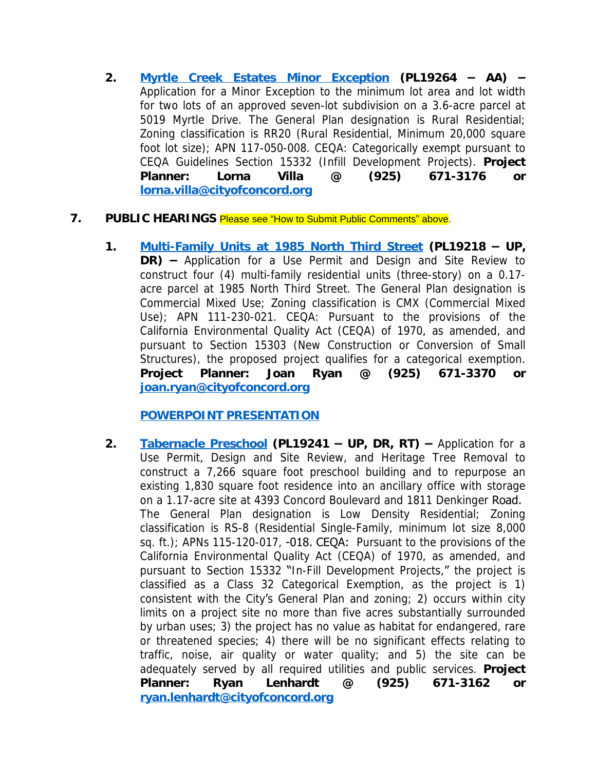**2. [Myrtle Creek Estates Minor Exception](https://www.cityofconcord.org/DocumentCenter/View/4343/Myrtle-Creek-Estates-Minor-Exception-Report) (PL19264 – AA) –** Application for a Minor Exception to the minimum lot area and lot width for two lots of an approved seven-lot subdivision on a 3.6-acre parcel at 5019 Myrtle Drive. The General Plan designation is Rural Residential; Zoning classification is RR20 (Rural Residential, Minimum 20,000 square foot lot size); APN 117-050-008. CEQA: Categorically exempt pursuant to CEQA Guidelines Section 15332 (Infill Development Projects). **Project Planner: Lorna Villa @ (925) 671-3176 or [lorna.villa@cityofconcord.org](mailto:lorna.villa@cityofconcord.org)**

#### **7. PUBLIC HEARINGS** Please see "How to Submit Public Comments" above.

**1. [Multi-Family Units at 1985 North Third Street](https://www.cityofconcord.org/DocumentCenter/View/4340/Multifamily-Duplexes-at-1985-North-3rd-Street-Report) (PL19218 – UP, DR) –** Application for a Use Permit and Design and Site Review to construct four (4) multi-family residential units (three-story) on a 0.17 acre parcel at 1985 North Third Street. The General Plan designation is Commercial Mixed Use; Zoning classification is CMX (Commercial Mixed Use); APN 111-230-021. CEQA: Pursuant to the provisions of the California Environmental Quality Act (CEQA) of 1970, as amended, and pursuant to Section 15303 (New Construction or Conversion of Small Structures), the proposed project qualifies for a categorical exemption. **Project Planner: Joan Ryan @ (925) 671-3370 or [joan.ryan@cityofconcord.org](mailto:joan.ryan@cityofconcord.org)**

#### **[POWERPOINT PRESENTATION](https://www.cityofconcord.org/DocumentCenter/View/4347/Multifamily-Duplexes-PP)**

**2. [Tabernacle Preschool](https://www.cityofconcord.org/DocumentCenter/View/4342/Tabernacle-Preschool-Report) (PL19241 – UP, DR, RT) –** Application for a Use Permit, Design and Site Review, and Heritage Tree Removal to construct a 7,266 square foot preschool building and to repurpose an existing 1,830 square foot residence into an ancillary office with storage on a 1.17-acre site at 4393 Concord Boulevard and 1811 Denkinger Road. The General Plan designation is Low Density Residential; Zoning classification is RS-8 (Residential Single-Family, minimum lot size 8,000 sq. ft.); APNs 115-120-017, -018. CEQA: Pursuant to the provisions of the California Environmental Quality Act (CEQA) of 1970, as amended, and pursuant to Section 15332 "In-Fill Development Projects," the project is classified as a Class 32 Categorical Exemption, as the project is 1) consistent with the City's General Plan and zoning; 2) occurs within city limits on a project site no more than five acres substantially surrounded by urban uses; 3) the project has no value as habitat for endangered, rare or threatened species; 4) there will be no significant effects relating to traffic, noise, air quality or water quality; and 5) the site can be adequately served by all required utilities and public services. **Project Planner: Ryan Lenhardt @ (925) 671-3162 or [ryan.lenhardt@cityofconcord.org](mailto:ryan.lenhardt@cityofconcord.org)**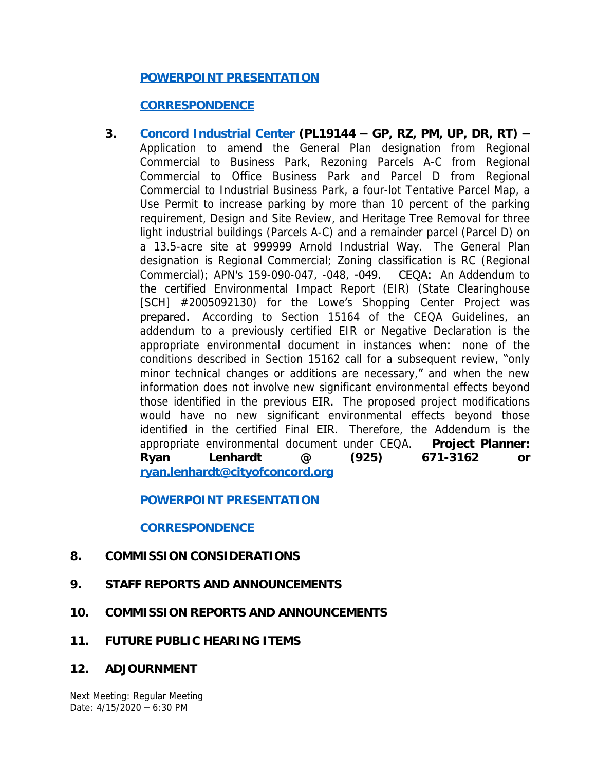## **[POWERPOINT PRESENTATION](https://www.cityofconcord.org/DocumentCenter/View/4353/Tabernacle-Preschool-PP)**

### **[CORRESPONDENCE](http://cityofconcord.org/DocumentCenter/View/4357/Tabernacle-Preschool-Correspondence)**

**3. [Concord Industrial Center](https://www.cityofconcord.org/DocumentCenter/View/4341/Concord-Industrial-Center-Report) (PL19144 – GP, RZ, PM, UP, DR, RT) –** Application to amend the General Plan designation from Regional Commercial to Business Park, Rezoning Parcels A-C from Regional Commercial to Office Business Park and Parcel D from Regional Commercial to Industrial Business Park, a four-lot Tentative Parcel Map, a Use Permit to increase parking by more than 10 percent of the parking requirement, Design and Site Review, and Heritage Tree Removal for three light industrial buildings (Parcels A-C) and a remainder parcel (Parcel D) on a 13.5-acre site at 999999 Arnold Industrial Way. The General Plan designation is Regional Commercial; Zoning classification is RC (Regional Commercial); APN's 159-090-047, -048, -049. CEQA: An Addendum to the certified Environmental Impact Report (EIR) (State Clearinghouse [SCH] #2005092130) for the Lowe's Shopping Center Project was prepared. According to Section 15164 of the CEQA Guidelines, an addendum to a previously certified EIR or Negative Declaration is the appropriate environmental document in instances when: none of the conditions described in Section 15162 call for a subsequent review, "only minor technical changes or additions are necessary," and when the new information does not involve new significant environmental effects beyond those identified in the previous EIR. The proposed project modifications would have no new significant environmental effects beyond those identified in the certified Final EIR. Therefore, the Addendum is the appropriate environmental document under CEQA. **Project Planner: Ryan Lenhardt @ (925) 671-3162 or [ryan.lenhardt@cityofconcord.org](mailto:ryan.lenhardt@cityofconcord.org)**

### **[POWERPOINT PRESENTATION](https://www.cityofconcord.org/DocumentCenter/View/4339/Concord-Industrial-Center-PP)**

### **[CORRESPONDENCE](http://cityofconcord.org/DocumentCenter/View/4356/Concord-Industrial-Center-Correspondence)**

### **8. COMMISSION CONSIDERATIONS**

- **9. STAFF REPORTS AND ANNOUNCEMENTS**
- **10. COMMISSION REPORTS AND ANNOUNCEMENTS**
- **11. FUTURE PUBLIC HEARING ITEMS**
- **12. ADJOURNMENT**

Next Meeting: Regular Meeting Date: 4/15/2020 – 6:30 PM